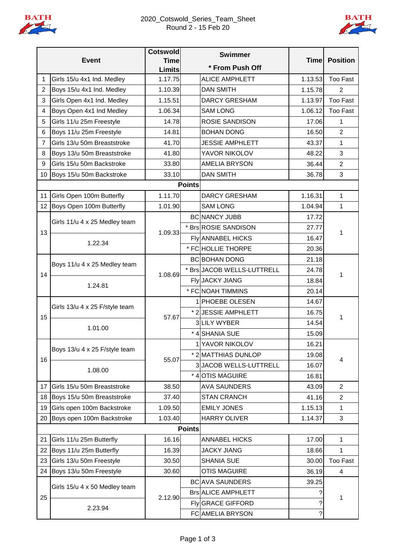



| <b>Event</b>   |                                | <b>Cotswold</b>              | <b>Swimmer</b> |                            | <b>Time</b> | <b>Position</b> |
|----------------|--------------------------------|------------------------------|----------------|----------------------------|-------------|-----------------|
|                |                                | <b>Time</b><br><b>Limits</b> |                | * From Push Off            |             |                 |
| 1              | Girls 15/u 4x1 Ind. Medley     | 1.17.75                      |                | <b>ALICE AMPHLETT</b>      | 1.13.53     | <b>Too Fast</b> |
| 2              | Boys 15/u 4x1 Ind. Medley      | 1.10.39                      |                | <b>DAN SMITH</b>           | 1.15.78     | 2               |
| 3              | Girls Open 4x1 Ind. Medley     | 1.15.51                      |                | <b>DARCY GRESHAM</b>       | 1.13.97     | <b>Too Fast</b> |
| 4              | Boys Open 4x1 Ind Medley       | 1.06.34                      |                | <b>SAM LONG</b>            | 1.06.12     | <b>Too Fast</b> |
| 5              | Girls 11/u 25m Freestyle       | 14.78                        |                | ROSIE SANDISON             | 17.06       | 1               |
| 6              | Boys 11/u 25m Freestyle        | 14.81                        |                | <b>BOHAN DONG</b>          | 16.50       | $\overline{2}$  |
| $\overline{7}$ | Girls 13/u 50m Breaststroke    | 41.70                        |                | <b>JESSIE AMPHLETT</b>     | 43.37       | 1               |
| 8              | Boys 13/u 50m Breaststroke     | 41.80                        |                | YAVOR NIKOLOV              | 48.22       | 3               |
| 9              | Girls 15/u 50m Backstroke      | 33.80                        |                | <b>AMELIA BRYSON</b>       | 36.44       | $\overline{2}$  |
| 10             | Boys 15/u 50m Backstroke       | 33.10                        |                | <b>DAN SMITH</b>           | 36.78       | 3               |
|                |                                |                              | <b>Points</b>  |                            |             |                 |
| 11             | Girls Open 100m Butterfly      | 1.11.70                      |                | <b>DARCY GRESHAM</b>       | 1.16.31     | 1               |
| 12             | Boys Open 100m Butterfly       | 1.01.90                      |                | <b>SAM LONG</b>            | 1.04.94     | 1               |
|                | Girls 11/u 4 x 25 Medley team  |                              |                | <b>BC NANCY JUBB</b>       | 17.72       |                 |
| 13             |                                | 1.09.33                      |                | * Brs ROSIE SANDISON       | 27.77       | 1               |
|                | 1.22.34                        |                              |                | <b>Fly ANNABEL HICKS</b>   | 16.47       |                 |
|                |                                |                              |                | * FC HOLLIE THORPE         | 20.36       |                 |
|                | Boys 11/u 4 x 25 Medley team   | 1.08.69                      |                | <b>BC BOHAN DONG</b>       | 21.18       | 1               |
| 14             |                                |                              |                | * Brs JACOB WELLS-LUTTRELL | 24.78       |                 |
|                | 1.24.81                        |                              |                | Fly JACKY JIANG            | 18.84       |                 |
|                |                                |                              |                | * FC NOAH TIMMINS          | 20.14       |                 |
|                | Girls 13/u 4 x 25 F/style team | 57.67                        |                | 1 PHOEBE OLESEN            | 14.67       | 1               |
| 15             |                                |                              |                | * 2 JESSIE AMPHLETT        | 16.75       |                 |
|                | 1.01.00                        |                              |                | 3 LILY WYBER               | 14.54       |                 |
|                |                                |                              |                | * 4 SHANIA SUE             | 15.09       |                 |
|                | Boys 13/u 4 x 25 F/style team  | 55.07                        |                | 1 YAVOR NIKOLOV            | 16.21       | 4               |
| 16             |                                |                              |                | * 2 MATTHIAS DUNLOP        | 19.08       |                 |
|                | 1.08.00                        |                              |                | 3JACOB WELLS-LUTTRELL      | 16.07       |                 |
|                |                                |                              |                | * 4 OTIS MAGUIRE           | 16.81       |                 |
| 17             | Girls 15/u 50m Breaststroke    | 38.50                        |                | <b>AVA SAUNDERS</b>        | 43.09       | $\overline{2}$  |
| 18             | Boys 15/u 50m Breaststroke     | 37.40                        |                | <b>STAN CRANCH</b>         | 41.16       | $\overline{2}$  |
| 19             | Girls open 100m Backstroke     | 1.09.50                      |                | <b>EMILY JONES</b>         | 1.15.13     | 1               |
| 20             | Boys open 100m Backstroke      | 1.03.40                      |                | <b>HARRY OLIVER</b>        | 1.14.37     | 3               |
| <b>Points</b>  |                                |                              |                |                            |             |                 |
| 21             | Girls 11/u 25m Butterfly       | 16.16                        |                | <b>ANNABEL HICKS</b>       | 17.00       | 1               |
| 22             | Boys 11/u 25m Butterfly        | 16.39                        |                | <b>JACKY JIANG</b>         | 18.66       | 1               |
| 23             | Girls 13/u 50m Freestyle       | 30.50                        |                | <b>SHANIA SUE</b>          | 30.00       | <b>Too Fast</b> |
| 24             | Boys 13/u 50m Freestyle        | 30.60                        |                | <b>OTIS MAGUIRE</b>        | 36.19       | 4               |
| 25             | Girls 15/u 4 x 50 Medley team  | 2.12.90                      |                | <b>BC</b> AVA SAUNDERS     | 39.25       | 1               |
|                |                                |                              |                | <b>Brs ALICE AMPHLETT</b>  |             |                 |
|                | 2.23.94                        |                              |                | Fly GRACE GIFFORD          |             |                 |
|                |                                |                              |                | FC AMELIA BRYSON           | ?           |                 |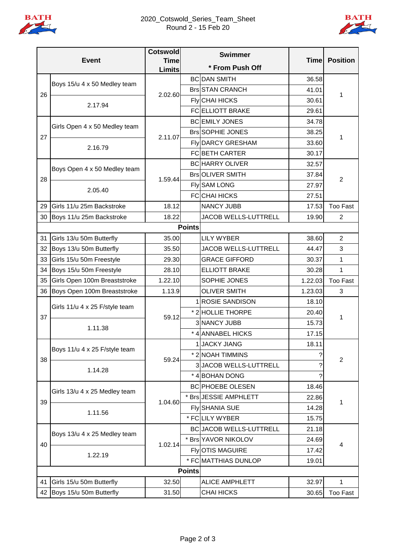

## 2020\_Cotswold\_Series\_Team\_Sheet Round 2 - 15 Feb 20



| <b>Event</b>  |                                         | <b>Cotswold</b>              | <b>Swimmer</b><br>* From Push Off |                                |             | <b>Position</b> |
|---------------|-----------------------------------------|------------------------------|-----------------------------------|--------------------------------|-------------|-----------------|
|               |                                         | <b>Time</b><br><b>Limits</b> |                                   |                                | <b>Time</b> |                 |
|               |                                         |                              |                                   | <b>BC DAN SMITH</b>            | 36.58       |                 |
| 26            | Boys 15/u 4 x 50 Medley team            | 2.02.60                      |                                   | <b>Brs STAN CRANCH</b>         | 41.01       | 1               |
|               | 2.17.94                                 |                              |                                   | <b>Fly</b> CHAI HICKS          | 30.61       |                 |
|               |                                         |                              |                                   | <b>FCELLIOTT BRAKE</b>         | 29.61       |                 |
| 27            | Girls Open 4 x 50 Medley team           | 2.11.07                      |                                   | <b>BC EMILY JONES</b>          | 34.78       | 1               |
|               |                                         |                              |                                   | <b>Brs SOPHIE JONES</b>        | 38.25       |                 |
|               | 2.16.79                                 |                              |                                   | <b>Fly DARCY GRESHAM</b>       | 33.60       |                 |
|               |                                         |                              |                                   | FCBETH CARTER                  | 30.17       |                 |
|               | Boys Open 4 x 50 Medley team            | 1.59.44                      |                                   | <b>BC HARRY OLIVER</b>         | 32.57       | $\overline{2}$  |
|               |                                         |                              |                                   | BrsOLIVER SMITH                | 37.84       |                 |
| 28            | 2.05.40                                 |                              |                                   | Fly SAM LONG                   | 27.97       |                 |
|               |                                         |                              |                                   | <b>FCCHAI HICKS</b>            | 27.51       |                 |
| 29            | Girls 11/u 25m Backstroke               | 18.12                        |                                   | <b>NANCY JUBB</b>              | 17.53       | <b>Too Fast</b> |
|               | 30 Boys 11/u 25m Backstroke             | 18.22                        |                                   | JACOB WELLS-LUTTRELL           | 19.90       | $\overline{2}$  |
| <b>Points</b> |                                         |                              |                                   |                                |             |                 |
| 31            | Girls 13/u 50m Butterfly                | 35.00                        |                                   | <b>LILY WYBER</b>              | 38.60       | 2               |
| 32            | Boys 13/u 50m Butterfly                 | 35.50                        |                                   | JACOB WELLS-LUTTRELL           | 44.47       | 3               |
| 33            | Girls 15/u 50m Freestyle                | 29.30                        |                                   | <b>GRACE GIFFORD</b>           | 30.37       | 1               |
| 34            | Boys 15/u 50m Freestyle                 | 28.10                        |                                   | <b>ELLIOTT BRAKE</b>           | 30.28       | 1               |
| 35            | Girls Open 100m Breaststroke            | 1.22.10                      |                                   | SOPHIE JONES                   | 1.22.03     | <b>Too Fast</b> |
| 36            | Boys Open 100m Breaststroke             | 1.13.9                       |                                   | <b>OLIVER SMITH</b>            | 1.23.03     | 3               |
|               | Girls 11/u 4 x 25 F/style team          | 59.12                        |                                   | <b>ROSIE SANDISON</b>          | 18.10       | 1               |
| 37            |                                         |                              |                                   | * 2 HOLLIE THORPE              | 20.40       |                 |
|               | 1.11.38                                 |                              |                                   | 3 NANCY JUBB                   | 15.73       |                 |
|               |                                         |                              |                                   | * 4 ANNABEL HICKS              | 17.15       |                 |
|               | Boys 11/u 4 x 25 F/style team           | 59.24                        |                                   | 1 JACKY JIANG                  | 18.11       | $\overline{2}$  |
| 38            |                                         |                              |                                   | * 2 NOAH TIMMINS               |             |                 |
|               | 1.14.28                                 |                              |                                   | 3JACOB WELLS-LUTTRELL          |             |                 |
|               |                                         |                              |                                   | * 4 BOHAN DONG                 |             |                 |
|               | Girls 13/u 4 x 25 Medley team           | 1.04.60                      |                                   | <b>BC PHOEBE OLESEN</b>        | 18.46       | 1               |
| 39            |                                         |                              |                                   | * Brs JESSIE AMPHLETT          | 22.86       |                 |
|               | 1.11.56                                 |                              |                                   | <b>Fly SHANIA SUE</b>          | 14.28       |                 |
|               |                                         |                              |                                   | * FCLILY WYBER                 | 15.75       |                 |
|               | Boys 13/u 4 x 25 Medley team<br>1.22.19 | 1.02.14                      |                                   | <b>BC JACOB WELLS-LUTTRELL</b> | 21.18       | 4               |
| 40            |                                         |                              |                                   | * Brs YAVOR NIKOLOV            | 24.69       |                 |
|               |                                         |                              |                                   | <b>FlyOTIS MAGUIRE</b>         | 17.42       |                 |
|               |                                         |                              |                                   | * FC MATTHIAS DUNLOP           | 19.01       |                 |
| <b>Points</b> |                                         |                              |                                   |                                |             |                 |
| 41            | Girls 15/u 50m Butterfly                | 32.50                        |                                   | <b>ALICE AMPHLETT</b>          | 32.97       | 1               |
| 42            | Boys 15/u 50m Butterfly                 | 31.50                        |                                   | <b>CHAI HICKS</b>              | 30.65       | <b>Too Fast</b> |